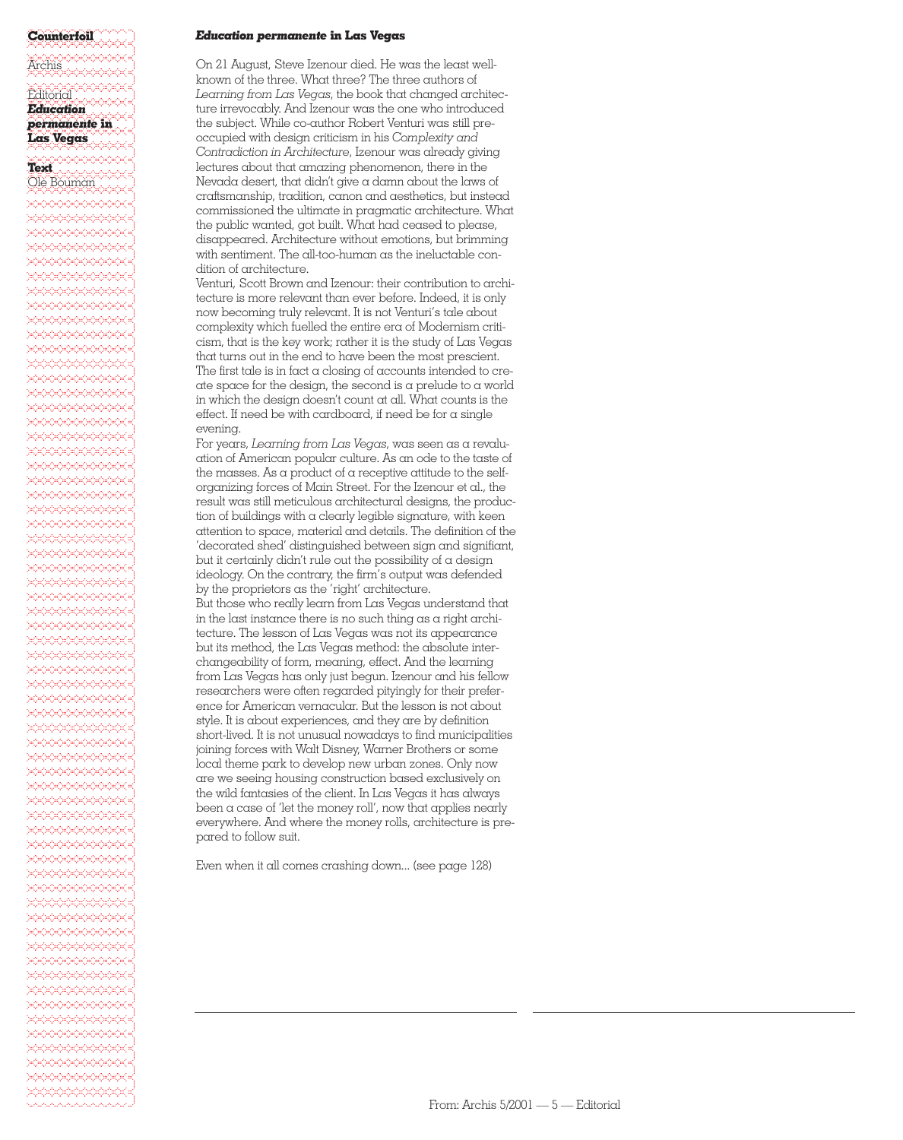### %%%%%%%%%%%%]**Counterfoil** %%%%%%%%%%%%]%%%%%%%%%%%%]Archis %%%%%%%%%%%%] $\mathrm{Eddi\ddot{o}rd}$  ,  $\mathrm{C}\mathrm{C}\mathrm{C}\mathrm{C}$  $E$ ducation *Education* %%%%%%%%%%%%]*permanente* **in**

# %%%%%%%%%%%%]**Las Vegas** %%%%%%%%%%%%]

## %%%%%%%%%%%%]**Text**

 $\mathcal{O}$ le Bouman %%%%%%%%%%%%]%%%%%%%%%%%%]%%%%%%%%%%%%]%%%%%%%%%%%%]%%%%%%%%%%%%]%%%%%%%%%%%%]%%%%%%%%%%%%]%%%%%%%%%%%%]%%%%%%%%%%%%]%%%%%%%%%%%%]%%%%%%%%%%%%]%%%%%%%%%%%%]%%%%%%%%%%%%]%%%%%%%%%%%%]%%%%%%%%%%%%]%%%%%%%%%%%%]%%%%%%%%%%%%]%%%%%%%%%%%%]%%%%%%%%%%%%]%%%%%%%%%%%%]%%%%%%%%%%%%]%%%%%%%%%%%%]%%%%%%%%%%%%]%%%%%%%%%%%%]%%%%%%%%%%%%]%%%%%%%%%%%%]%%%%%%%%%%%%]%%%%%%%%%%%%]%%%%%%%%%%%%]%%%%%%%%%%%%]%%%%%%%%%%%%]%%%%%%%%%%%%]%%%%%%%%%%%%]%%%%%%%%%%%%]%%%%%%%%%%%%]%%%%%%%%%%%%]%%%%%%%%%%%%]%%%%%%%%%%%%]%%%%%%%%%%%%]%%%%%%%%%%%%]%%%%%%%%%%%%]%%%%%%%%%%%%]%%%%%%%%%%%%]%%%%%%%%%%%%]%%%%%%%%%%%%]%%%%%%%%%%%%]%%%%%%%%%%%%]%%%%%%%%%%%%]%%%%%%%%%%%%]%%%%%%%%%%%%]%%%%%%%%%%%%]%%%%%%%%%%%%]%%%%%%%%%%%%]%%%%%%%%%%%%]%%%%%%%%%%%%]%%%%%%%%%%%%]%%%%%%%%%%%%]%%%%%%%%%%%%]%%%%%%%%%%%%]%%%%%%%%%%%%]%%%%%%%%%%%%]%%%%%%%%%%%%]%%%%%%%%%%%%]

#### *Education permanente* **in Las Vegas**

On 21 August, Steve Izenour died. He was the least wellknown of the three. What three? The three authors of *Learning from Las Vegas*, the book that changed architecture irrevocably. And Izenour was the one who introduced the subject. While co-author Robert Venturi was still preoccupied with design criticism in his *Complexity and Contradiction in Architecture*, Izenour was already giving lectures about that amazing phenomenon, there in the Nevada desert, that didn't give a damn about the laws of craftsmanship, tradition, canon and aesthetics, but instead commissioned the ultimate in pragmatic architecture. What the public wanted, got built. What had ceased to please, disappeared. Architecture without emotions, but brimming with sentiment. The all-too-human as the ineluctable condition of architecture.

Venturi, Scott Brown and Izenour: their contribution to architecture is more relevant than ever before. Indeed, it is only now becoming truly relevant. It is not Venturi's tale about complexity which fuelled the entire era of Modernism criticism, that is the key work; rather it is the study of Las Vegas that turns out in the end to have been the most prescient. The first tale is in fact a closing of accounts intended to create space for the design, the second is a prelude to a world in which the design doesn't count at all. What counts is the effect. If need be with cardboard, if need be for a single evening.

For years, *Learning from Las Vegas*, was seen as a revaluation of American popular culture. As an ode to the taste of the masses. As a product of a receptive attitude to the selforganizing forces of Main Street. For the Izenour et al., the result was still meticulous architectural designs, the production of buildings with a clearly legible signature, with keen attention to space, material and details. The definition of the 'decorated shed' distinguished between sign and signifiant, but it certainly didn't rule out the possibility of  $\alpha$  design ideology. On the contrary, the firm's output was defended by the proprietors as the 'right' architecture.

But those who really learn from Las Vegas understand that in the last instance there is no such thing as a right architecture. The lesson of Las Vegas was not its appearance but its method, the Las Vegas method: the absolute interchangeability of form, meaning, effect. And the learning from Las Vegas has only just begun. Izenour and his fellow researchers were often regarded pityingly for their preference for American vernacular. But the lesson is not about style. It is about experiences, and they are by definition short-lived. It is not unusual nowadays to find municipalities joining forces with Walt Disney, Warner Brothers or some local theme park to develop new urban zones. Only now are we seeing housing construction based exclusively on the wild fantasies of the client. In Las Vegas it has always been  $\alpha$  case of 'let the money roll', now that applies nearly everywhere. And where the money rolls, architecture is prepared to follow suit.

Even when it all comes crashing down... (see page 128)